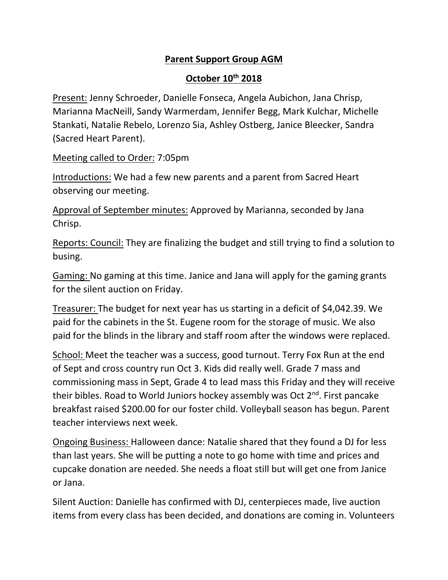## **Parent Support Group AGM**

## **October 10th 2018**

Present: Jenny Schroeder, Danielle Fonseca, Angela Aubichon, Jana Chrisp, Marianna MacNeill, Sandy Warmerdam, Jennifer Begg, Mark Kulchar, Michelle Stankati, Natalie Rebelo, Lorenzo Sia, Ashley Ostberg, Janice Bleecker, Sandra (Sacred Heart Parent).

Meeting called to Order: 7:05pm

Introductions: We had a few new parents and a parent from Sacred Heart observing our meeting.

Approval of September minutes: Approved by Marianna, seconded by Jana Chrisp.

Reports: Council: They are finalizing the budget and still trying to find a solution to busing.

Gaming: No gaming at this time. Janice and Jana will apply for the gaming grants for the silent auction on Friday.

Treasurer: The budget for next year has us starting in a deficit of \$4,042.39. We paid for the cabinets in the St. Eugene room for the storage of music. We also paid for the blinds in the library and staff room after the windows were replaced.

School: Meet the teacher was a success, good turnout. Terry Fox Run at the end of Sept and cross country run Oct 3. Kids did really well. Grade 7 mass and commissioning mass in Sept, Grade 4 to lead mass this Friday and they will receive their bibles. Road to World Juniors hockey assembly was Oct 2<sup>nd</sup>. First pancake breakfast raised \$200.00 for our foster child. Volleyball season has begun. Parent teacher interviews next week.

Ongoing Business: Halloween dance: Natalie shared that they found a DJ for less than last years. She will be putting a note to go home with time and prices and cupcake donation are needed. She needs a float still but will get one from Janice or Jana.

Silent Auction: Danielle has confirmed with DJ, centerpieces made, live auction items from every class has been decided, and donations are coming in. Volunteers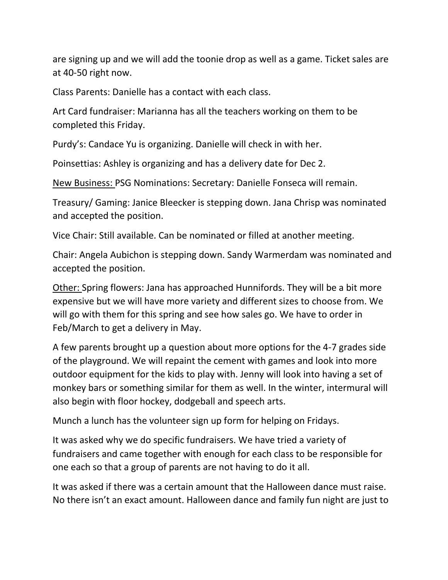are signing up and we will add the toonie drop as well as a game. Ticket sales are at 40-50 right now.

Class Parents: Danielle has a contact with each class.

Art Card fundraiser: Marianna has all the teachers working on them to be completed this Friday.

Purdy's: Candace Yu is organizing. Danielle will check in with her.

Poinsettias: Ashley is organizing and has a delivery date for Dec 2.

New Business: PSG Nominations: Secretary: Danielle Fonseca will remain.

Treasury/ Gaming: Janice Bleecker is stepping down. Jana Chrisp was nominated and accepted the position.

Vice Chair: Still available. Can be nominated or filled at another meeting.

Chair: Angela Aubichon is stepping down. Sandy Warmerdam was nominated and accepted the position.

Other: Spring flowers: Jana has approached Hunnifords. They will be a bit more expensive but we will have more variety and different sizes to choose from. We will go with them for this spring and see how sales go. We have to order in Feb/March to get a delivery in May.

A few parents brought up a question about more options for the 4-7 grades side of the playground. We will repaint the cement with games and look into more outdoor equipment for the kids to play with. Jenny will look into having a set of monkey bars or something similar for them as well. In the winter, intermural will also begin with floor hockey, dodgeball and speech arts.

Munch a lunch has the volunteer sign up form for helping on Fridays.

It was asked why we do specific fundraisers. We have tried a variety of fundraisers and came together with enough for each class to be responsible for one each so that a group of parents are not having to do it all.

It was asked if there was a certain amount that the Halloween dance must raise. No there isn't an exact amount. Halloween dance and family fun night are just to